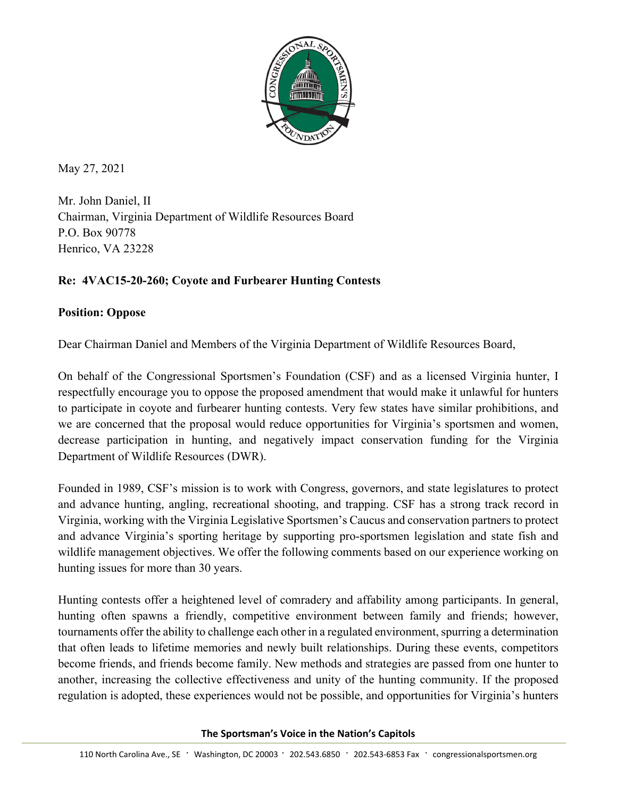

May 27, 2021

Mr. John Daniel, II Chairman, Virginia Department of Wildlife Resources Board P.O. Box 90778 Henrico, VA 23228

## **Re: 4VAC15-20-260; Coyote and Furbearer Hunting Contests**

## **Position: Oppose**

Dear Chairman Daniel and Members of the Virginia Department of Wildlife Resources Board,

On behalf of the Congressional Sportsmen's Foundation (CSF) and as a licensed Virginia hunter, I respectfully encourage you to oppose the proposed amendment that would make it unlawful for hunters to participate in coyote and furbearer hunting contests. Very few states have similar prohibitions, and we are concerned that the proposal would reduce opportunities for Virginia's sportsmen and women, decrease participation in hunting, and negatively impact conservation funding for the Virginia Department of Wildlife Resources (DWR).

Founded in 1989, CSF's mission is to work with Congress, governors, and state legislatures to protect and advance hunting, angling, recreational shooting, and trapping. CSF has a strong track record in Virginia, working with the Virginia Legislative Sportsmen's Caucus and conservation partners to protect and advance Virginia's sporting heritage by supporting pro-sportsmen legislation and state fish and wildlife management objectives. We offer the following comments based on our experience working on hunting issues for more than 30 years.

Hunting contests offer a heightened level of comradery and affability among participants. In general, hunting often spawns a friendly, competitive environment between family and friends; however, tournaments offer the ability to challenge each other in a regulated environment, spurring a determination that often leads to lifetime memories and newly built relationships. During these events, competitors become friends, and friends become family. New methods and strategies are passed from one hunter to another, increasing the collective effectiveness and unity of the hunting community. If the proposed regulation is adopted, these experiences would not be possible, and opportunities for Virginia's hunters

**The Sportsman's Voice in the Nation's Capitols**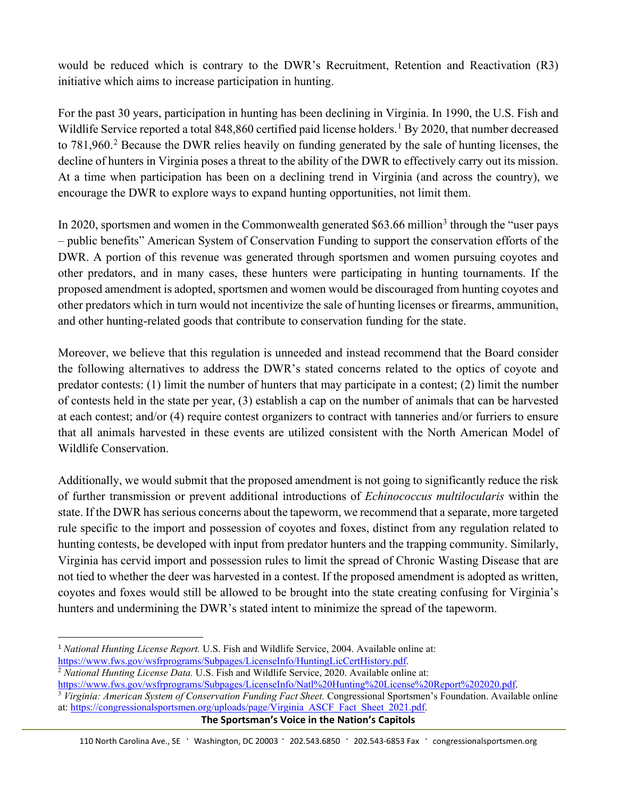would be reduced which is contrary to the DWR's Recruitment, Retention and Reactivation (R3) initiative which aims to increase participation in hunting.

For the past 30 years, participation in hunting has been declining in Virginia. In 1990, the U.S. Fish and Wildlife Service reported a total 848,860 certified paid license holders.<sup>[1](#page-1-0)</sup> By 2020, that number decreased to 781,960.<sup>[2](#page-1-1)</sup> Because the DWR relies heavily on funding generated by the sale of hunting licenses, the decline of hunters in Virginia poses a threat to the ability of the DWR to effectively carry out its mission. At a time when participation has been on a declining trend in Virginia (and across the country), we encourage the DWR to explore ways to expand hunting opportunities, not limit them.

In 2020, sportsmen and women in the Commonwealth generated  $$63.66$  $$63.66$  $$63.66$  million<sup>3</sup> through the "user pays" – public benefits" American System of Conservation Funding to support the conservation efforts of the DWR. A portion of this revenue was generated through sportsmen and women pursuing coyotes and other predators, and in many cases, these hunters were participating in hunting tournaments. If the proposed amendment is adopted, sportsmen and women would be discouraged from hunting coyotes and other predators which in turn would not incentivize the sale of hunting licenses or firearms, ammunition, and other hunting-related goods that contribute to conservation funding for the state.

Moreover, we believe that this regulation is unneeded and instead recommend that the Board consider the following alternatives to address the DWR's stated concerns related to the optics of coyote and predator contests: (1) limit the number of hunters that may participate in a contest; (2) limit the number of contests held in the state per year, (3) establish a cap on the number of animals that can be harvested at each contest; and/or (4) require contest organizers to contract with tanneries and/or furriers to ensure that all animals harvested in these events are utilized consistent with the North American Model of Wildlife Conservation.

Additionally, we would submit that the proposed amendment is not going to significantly reduce the risk of further transmission or prevent additional introductions of *Echinococcus multilocularis* within the state. If the DWR has serious concerns about the tapeworm, we recommend that a separate, more targeted rule specific to the import and possession of coyotes and foxes, distinct from any regulation related to hunting contests, be developed with input from predator hunters and the trapping community. Similarly, Virginia has cervid import and possession rules to limit the spread of Chronic Wasting Disease that are not tied to whether the deer was harvested in a contest. If the proposed amendment is adopted as written, coyotes and foxes would still be allowed to be brought into the state creating confusing for Virginia's hunters and undermining the DWR's stated intent to minimize the spread of the tapeworm.

<span id="page-1-0"></span><sup>1</sup> *National Hunting License Report.* U.S. Fish and Wildlife Service, 2004. Available online at:

[https://www.fws.gov/wsfrprograms/Subpages/LicenseInfo/HuntingLicCertHistory.pdf.](https://www.fws.gov/wsfrprograms/Subpages/LicenseInfo/HuntingLicCertHistory.pdf) 2 *National Hunting License Data.* U.S. Fish and Wildlife Service, 2020. Available online at:

<span id="page-1-1"></span>[https://www.fws.gov/wsfrprograms/Subpages/LicenseInfo/Natl%20Hunting%20License%20Report%202020.pdf.](https://www.fws.gov/wsfrprograms/Subpages/LicenseInfo/Natl%20Hunting%20License%20Report%202020.pdf)<br><sup>3</sup> Virginia: American System of Conservation Funding Fact Sheet. Congressional Sportsmen's Foundation. Available online

<span id="page-1-2"></span>at: [https://congressionalsportsmen.org/uploads/page/Virginia\\_ASCF\\_Fact\\_Sheet\\_2021.pdf.](https://congressionalsportsmen.org/uploads/page/Virginia_ASCF_Fact_Sheet_2021.pdf)

**The Sportsman's Voice in the Nation's Capitols**